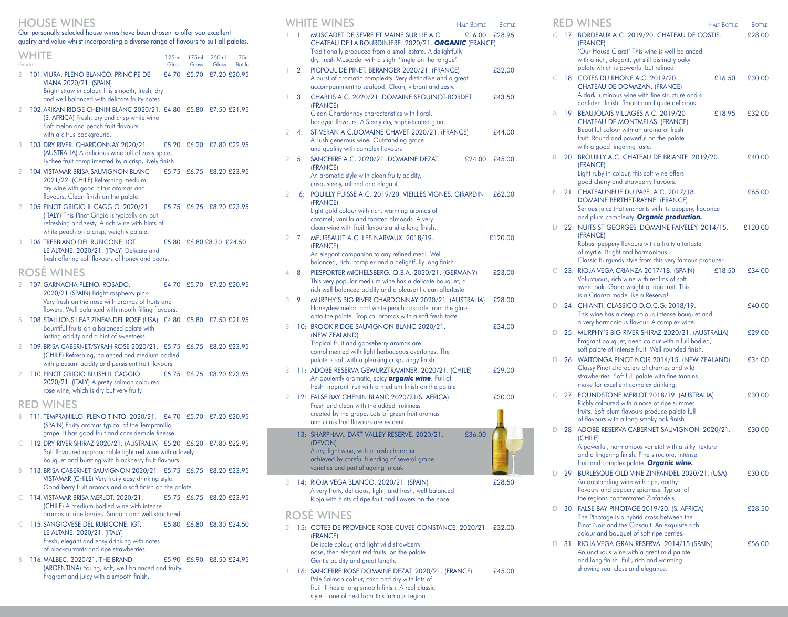## HOUSE WINES

Our personally selected house wines have been chosen to offer you excellent quality and value whilst incorporating a diverse range of flavours to suit all palates.

| Guide | WHITE                                                                                                                                                                                 | 125ml<br>Glass | 175ml<br>Glass | 250ml<br>Glass | 75 <sub>cl</sub><br><b>Bottle</b> |
|-------|---------------------------------------------------------------------------------------------------------------------------------------------------------------------------------------|----------------|----------------|----------------|-----------------------------------|
| 2     | 101. VIURA. PLENO BLANCO. PRINCIPE DE<br>VIANA 2020/21. (SPAIN)<br>Bright straw in colour. It is smooth, fresh, dry<br>and well balanced with delicate fruity notes.                  | £4.70          | £5.70          | £7.20 £20.95   |                                   |
| 2     | 102. ARIKAN RIDGE CHENIN BLANC 2020/21. £4.80 £5.80<br>(S. AFRICA) Fresh, dry and crisp white wine.<br>Soft melon and peach fruit flavours<br>with a citrus background.               |                |                | £7.50 £21.95   |                                   |
| 3     | 103. DRY RIVER. CHARDONNAY 2020/21.<br>(AUSTRALIA) A delicious wine full of zesty spice,<br>Lychee fruit complimented by a crisp, lively finish.                                      | £5.20          | £6.20          | £7.80 £22.95   |                                   |
| 2     | <b>104. VISTAMAR BRISA SAUVIGNON BLANC</b><br>2021/22. (CHILE) Refreshing medium<br>dry wine with good citrus aromas and<br>flavours. Clean finish on the palate.                     | £5.75          | £6.75          | £8.20 £23.95   |                                   |
| 2     | 105. PINOT GRIGIO IL CAGGIO. 2020/21.<br>(ITALY) This Pinot Grigio is typically dry but<br>refreshing and zesty. A rich wine with hints of<br>white peach on a crisp, weighty palate. | £5.75          | £6.75          | £8.20 £23.95   |                                   |

3 106.TREBBIANO DEL RUBICONE. IGT. £5.80 £6.80 £8.30 £24.50 LE ALTANE. 2020/21. (ITALY) Delicate and fresh offering soft flavours of honey and pears.

# ROSÉ WINES

- 2 107.GARNACHA PLENO. ROSADO. £4.70 £5.70 £7.20 £20.95 2020/21.(SPAIN) Bright raspberry pink. Very fresh on the nose with aromas of fruits and flowers. Well balanced with mouth filling flavours.
- 5 108.STALLIONS LEAP ZINFANDEL ROSE (USA) £4.80 £5.80 £7.50 £21.95 Bountiful fruits on a balanced palate with lasting acidity and a hint of sweetness.
- 2 109.BRISA CABERNET/SYRAH ROSE 2020/21. £5.75 £6.75 £8.20 £23.95 (CHILE) Refreshing, balanced and medium bodied with pleasant acidity and persistent fruit flavours
- 2 110.PINOT GRIGIO BLUSH IL CAGGIO £5.75 £6.75 £8.20 £23.95 2020/21. (ITALY) A pretty salmon coloured rose wine, which is dry but very fruity

# RED WINES

- B 111.TEMPRANILLO. PLENO TINTO. 2020/21. £4.70 £5.70 £7.20 £20.95 (SPAIN) Fruity aromas typical of the Tempranillo grape. It has good fruit and considerable finesse.
- C 112.DRY RIVER SHIRAZ 2020/21. (AUSTRALIA) £5.20 £6.20 £7.80 £22.95 Soft flavoured approachable light red wine with a lovely bouquet and bursting with blackberry fruit flavours.
- B 113.BRISA CABERNET SAUVIGNON 2020/21. £5.75 £6.75 £8.20 £23.95 VISTAMAR (CHILE) Very fruity easy drinking style. Good berry fruit aromas and a soft finish on the palate.
- C 114.VISTAMAR BRISA MERLOT. 2020/21. £5.75 £6.75 £8.20 £23.95 (CHILE) A medium bodied wine with intense aromas of ripe berries. Smooth and well structured.
- C 115.SANGIOVESE DEL RUBICONE. IGT. £5.80 £6.80 £8.30 £24.50 LE ALTANE. 2020/21. (ITALY) Fresh, elegant and easy drinking with notes of blackcurrants and ripe strawberries.
- B 116.MALBEC. 2020/21. THE BRAND £5.90 £6.90 £8.50 £24.95 (ARGENTINA) Young, soft, well balanced and fruity. Fragrant and juicy with a smooth finish.

|   |    | WHITE WINES                                                                                                                                                                                                                | <b>HALF BOTTLE</b> | <b>BOTTLE</b> |
|---|----|----------------------------------------------------------------------------------------------------------------------------------------------------------------------------------------------------------------------------|--------------------|---------------|
|   | 1: | MUSCADET DE SEVRE ET MAINE SUR LIE A.C.<br>CHATEAU DE LA BOURDINIERE. 2020/21. ORGANIC (FRANCE)<br>Traditionally produced from a small estate. A delightfully<br>dry, fresh Muscadet with a slight 'tingle on the tongue'. | £16.00             | £28.95        |
| 1 | 2: | PICPOUL DE PINET. BERANGER 2020/21. (FRANCE)<br>A burst of aromatic complexity. Very distinctive and a great<br>accompaniment to seafood. Clean, vibrant and zesty.                                                        |                    | £32.00        |
| 1 | 3: | CHABLIS A.C. 2020/21. DOMAINE SEGUINOT-BORDET.<br>(FRANCE)<br>Clean Chardonnay characteristics with floral,<br>honeyed flavours. A Steely dry, sophisticated giant.                                                        |                    | £43.50        |
| 2 | 4: | ST VERAN A.C.DOMAINE CHAVET 2020/21. (FRANCE)<br>A Lush generous wine. Outstanding grace<br>and qualitiy with complex flavours                                                                                             |                    | £44.00        |
| 2 | 5: | SANCERRE A.C. 2020/21. DOMAINE DEZAT.<br>(FRANCE)<br>An aromatic style with clean fruity acidity,<br>crisp, steely, refined and elegant.                                                                                   | £24.00             | £45.00        |
| 2 | 6: | POUILLY FUISSE A.C. 2019/20. VIEILLES VIGNES. GIRARDIN<br>(FRANCE)<br>Light gold colour with rich, warming aromas of<br>caramel, vanilla and toasted almonds. A very<br>clean wine with fruit flavours and a long finish.  |                    | £62.00        |
| 2 | 7: | MEURSAULT A.C. LES NARVAUX. 2018/19.<br>(FRANCE)<br>An elegant companion to any refined meal. Well<br>balanced, rich, complex and a delightfully long finish.                                                              |                    | £120.00       |
| 4 | 8: | PIESPORTER MICHELSBERG. Q.B.A. 2020/21. (GERMANY)<br>This very popular medium wine has a delicate bouquet, a<br>rich well balanced acidity and a pleasant clean aftertaste.                                                |                    | £23.00        |
| 3 | 9: | MURPHY'S BIG RIVER CHARDONNAY 2020/21. (AUSTRALIA)<br>Honeydew melon and white peach cascade from the glass<br>onto the palate. Tropical aromas with a soft fresh taste                                                    |                    | £28.00        |
| 3 |    | 10: BROOK RIDGE SAUVIGNON BLANC 2020/21.<br>(NEW ZEALAND)<br>Tropical fruit and gooseberry aromas are<br>complimented with light herbaceous overtones. The<br>palate is soft with a pleasing crisp, zingy finish.          |                    | £34.00        |
| 3 |    | 11: ADOBE RESERVA GEWURZTRAMINER. 2020/21. (CHILE)<br>An opulently aromatic, spicy <b>organic wine</b> . Full of<br>fresh fragrant fruit with a medium finish on the palate                                                |                    | £29.00        |
| 2 |    | 12: FALSE BAY CHENIN BLANC 2020/21(S. AFRICA)<br>Fresh and clean with the added fruitiness<br>created by the grape. Lots of green fruit aromas<br>and citrus fruit flavours are evident.                                   |                    | £30.00        |
|   |    | 13: SHARPHAM. DART VALLEY RESERVE. 2020/21.<br>(DEVON)<br>A dry, light wine, with a fresh character<br>achieved by careful blending of several grape<br>varieties and partial ageing in oak                                | £36.00             |               |
| 3 |    | 14: RIOJA VEGA BLANCO. 2020/21. (SPAIN)<br>A very fruity, delicious, light, and fresh, well balanced<br>Rioja with hints of ripe fruit and flowers on the nose.                                                            |                    | £28.50        |
|   |    | ROSÉ WINES                                                                                                                                                                                                                 |                    |               |

#### E WINES

- 2 15: COTES DE PROVENCE ROSE CUVEE CONSTANCE. 2020/21. £32.00 (FRANCE) Delicate colour, and light wild strawberry nose, then elegant red fruits on the palate. Gentle acidity and great length.
- 1 16: SANCERRE ROSE DOMAINE DEZAT. 2020/21. (FRANCE) £45.00 Pale Salmon colour, crisp and dry with lots of fruit. It has a long smooth finish. A real classic style – one of best from this famous region

| ĸ | <b>WINES</b>                                                                                                                                                                               | <b>HALF BOTTLE</b> | <b>BOTTLE</b> |
|---|--------------------------------------------------------------------------------------------------------------------------------------------------------------------------------------------|--------------------|---------------|
|   | 17: BORDEAUX A.C. 2019/20. CHATEAU DE COSTIS.<br>(FRANCE)<br>'Our House Claret' This wine is well balanced                                                                                 |                    | £28.00        |
|   | with a rich, elegant, yet still distinctly oaky<br>palate which is powerful but refined.                                                                                                   |                    |               |
| C | 18: COTES DU RHONE A.C. 2019/20.<br>CHATEAU DE DOMAZAN. (FRANCE)                                                                                                                           | £16.50             | £30.00        |
|   | A dark luminous wine with fine structure and a<br>confident finish. Smooth and quite delicious.                                                                                            |                    |               |
| A | 19: BEAUJOLAIS VILLAGES A.C. 2019/20<br>CHATEAU DE MONTMELAS. (FRANCE)                                                                                                                     | £18.95             | £32.00        |
|   | Beautiful colour with an aroma of fresh<br>fruit. Round and powerful on the palate<br>with a good lingering taste.                                                                         |                    |               |
| B | 20: BROUILLY A.C. CHATEAU DE BRIANTE. 2019/20.<br>(FRANCE)                                                                                                                                 |                    | £40.00        |
|   | Light ruby in colour, this soft wine offers<br>good cherry and strawberry flavours.                                                                                                        |                    |               |
| Е | 21: CHATEAUNEUF DU PAPE. A C. 2017/18.<br>DOMAINE BERTHET-RAYNE. (FRANCE)                                                                                                                  |                    | £65.00        |
|   | Serious juice that enchants with its peppery, liquorice<br>and plum complexity. Organic production.                                                                                        |                    |               |
| D | 22: NUITS ST GEORGES. DOMAINE FAIVELEY. 2014/15.<br>(FRANCE)                                                                                                                               |                    | £120.00       |
|   | Robust peppery flavours with a fruity aftertaste<br>of myrtle. Bright and harmonious -<br>Classic Burgundy style from this very famous producer                                            |                    |               |
| C | 23: RIOJA VEGA CRIANZA 2017/18. (SPAIN)<br>Voluptuous, rich wine with realms of soft<br>sweet oak. Good weight of ripe fruit. This<br>is a Crianza made like a Reserva!                    | £18.50             | £34.00        |
| D | 24: CHIANTI. CLASSICO D.O.C.G. 2018/19.<br>This wine has a deep colour, intense bouquet and<br>a very harmonious flavour. A complex wine.                                                  |                    | £40.00        |
| D | 25: MURPHY'S BIG RIVER SHIRAZ 2020/21. (AUSTRALIA)<br>Fragrant bouquet, deep colour with a full bodied,<br>soft palate of intense fruit. Well rounded finish.                              |                    | £29.00        |
| D | 26: WAITONGA PINOT NOIR 2014/15. (NEW ZEALAND)<br>Classy Pinot characters of cherries and wild<br>strawberries. Soft full palate with fine tannins<br>make for excellent complex drinking. |                    | £34.00        |
| C | 27: FOUNDSTONE MERLOT 2018/19. (AUSTRALIA)<br>Richly coloured with a nose of ripe summer<br>fruits. Soft plum flavours produce palate full                                                 |                    | £30.00        |
| D | of flavours with a long smoky oak finish.<br>28: ADOBE RESERVA CABERNET SAUVIGNON. 2020/21.<br>(CHILE)                                                                                     |                    | £30.00        |
|   | A powerful, harmonious varietal with a silky texture<br>and a lingering finish. Fine structure, intense                                                                                    |                    |               |
| D | fruit and complex palate. Organic wine.<br>29: BURLESQUE OLD VINE ZINFANDEL 2020/21. (USA)                                                                                                 |                    | £30.00        |
|   | An outstanding wine with ripe, earthy<br>flavours and peppery spiciness. Typical of<br>the regions concentrated Zinfandels.                                                                |                    |               |
| D | 30: FALSE BAY PINOTAGE 2019/20. (S. AFRICA)<br>The Pinotage is a hybrid cross between the                                                                                                  |                    | £28.50        |
|   | Pinot Noir and the Cinsault. An exquisite rich<br>colour and bouquet of soft ripe berries.                                                                                                 |                    |               |
| D | 31: RIOJA VEGA GRAN RESERVA. 2014/15 (SPAIN)<br>An unctuous wine with a great mid palate<br>and long finish. Full, rich and warming                                                        |                    | £56.00        |
|   | showing real class and elegance.                                                                                                                                                           |                    |               |